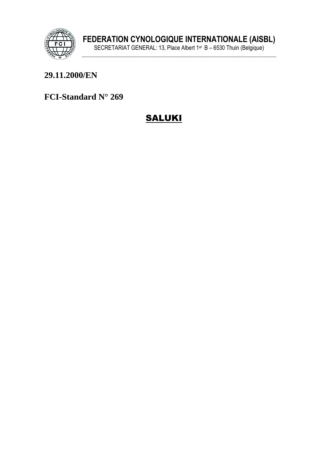

# 29.11.2000/EN

FCI-Standard N° 269

# **SALUKI**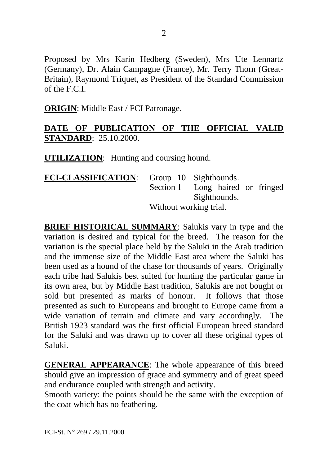Proposed by Mrs Karin Hedberg (Sweden), Mrs Ute Lennartz (Germany), Dr. Alain Campagne (France), Mr. Terry Thorn (Great-Britain), Raymond Triquet, as President of the Standard Commission of the F.C.I.

**ORIGIN**: Middle East / FCI Patronage.

## **DATE OF PUBLICATION OF THE OFFICIAL VALID STANDARD**: 25.10.2000.

**UTILIZATION**: Hunting and coursing hound.

| <b>FCI-CLASSIFICATION:</b> |                        | Group 10 Sighthounds.            |  |
|----------------------------|------------------------|----------------------------------|--|
|                            |                        | Section 1 Long haired or fringed |  |
|                            |                        | Sighthounds.                     |  |
|                            | Without working trial. |                                  |  |

**BRIEF HISTORICAL SUMMARY**: Salukis vary in type and the variation is desired and typical for the breed. The reason for the variation is the special place held by the Saluki in the Arab tradition and the immense size of the Middle East area where the Saluki has been used as a hound of the chase for thousands of years. Originally each tribe had Salukis best suited for hunting the particular game in its own area, but by Middle East tradition, Salukis are not bought or sold but presented as marks of honour. It follows that those presented as such to Europeans and brought to Europe came from a wide variation of terrain and climate and vary accordingly. The British 1923 standard was the first official European breed standard for the Saluki and was drawn up to cover all these original types of Saluki.

**GENERAL APPEARANCE**: The whole appearance of this breed should give an impression of grace and symmetry and of great speed and endurance coupled with strength and activity.

Smooth variety: the points should be the same with the exception of the coat which has no feathering.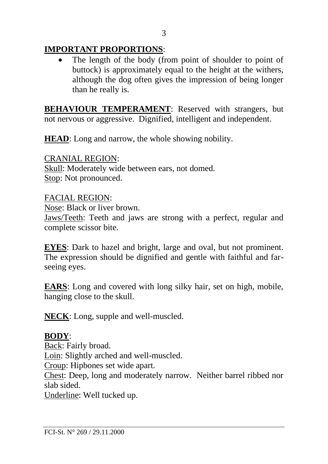# **IMPORTANT PROPORTIONS**:

The length of the body (from point of shoulder to point of buttock) is approximately equal to the height at the withers, although the dog often gives the impression of being longer than he really is.

**BEHAVIOUR TEMPERAMENT**: Reserved with strangers, but not nervous or aggressive. Dignified, intelligent and independent.

**HEAD**: Long and narrow, the whole showing nobility.

CRANIAL REGION: Skull: Moderately wide between ears, not domed. Stop: Not pronounced.

FACIAL REGION: Nose: Black or liver brown. Jaws/Teeth: Teeth and jaws are strong with a perfect, regular and complete scissor bite.

**EYES**: Dark to hazel and bright, large and oval, but not prominent. The expression should be dignified and gentle with faithful and farseeing eyes.

**EARS**: Long and covered with long silky hair, set on high, mobile, hanging close to the skull.

**NECK**: Long, supple and well-muscled.

#### **BODY**:

Back: Fairly broad. Loin: Slightly arched and well-muscled. Croup: Hipbones set wide apart. Chest: Deep, long and moderately narrow. Neither barrel ribbed nor slab sided. Underline: Well tucked up.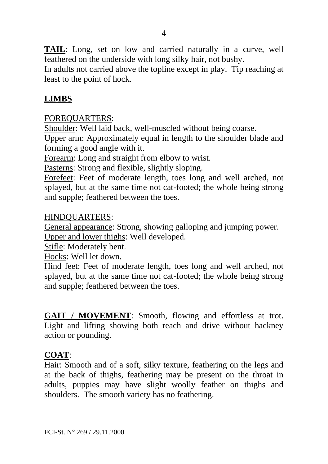**TAIL**: Long, set on low and carried naturally in a curve, well feathered on the underside with long silky hair, not bushy.

In adults not carried above the topline except in play. Tip reaching at least to the point of hock.

# **LIMBS**

#### FOREQUARTERS:

Shoulder: Well laid back, well-muscled without being coarse.

Upper arm: Approximately equal in length to the shoulder blade and forming a good angle with it.

Forearm: Long and straight from elbow to wrist.

Pasterns: Strong and flexible, slightly sloping.

Forefeet: Feet of moderate length, toes long and well arched, not splayed, but at the same time not cat-footed; the whole being strong and supple; feathered between the toes.

#### HINDQUARTERS:

General appearance: Strong, showing galloping and jumping power. Upper and lower thighs: Well developed.

Stifle: Moderately bent.

Hocks: Well let down.

Hind feet: Feet of moderate length, toes long and well arched, not splayed, but at the same time not cat-footed; the whole being strong and supple; feathered between the toes.

**GAIT / MOVEMENT**: Smooth, flowing and effortless at trot. Light and lifting showing both reach and drive without hackney action or pounding.

#### **COAT**:

Hair: Smooth and of a soft, silky texture, feathering on the legs and at the back of thighs, feathering may be present on the throat in adults, puppies may have slight woolly feather on thighs and shoulders. The smooth variety has no feathering.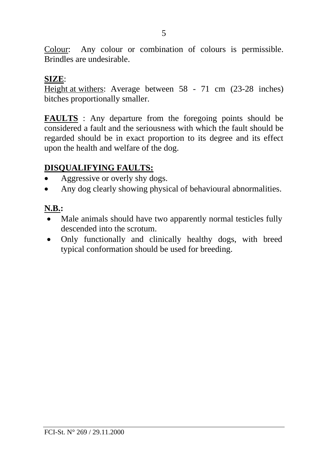Colour: Any colour or combination of colours is permissible. Brindles are undesirable.

#### **SIZE**:

Height at withers: Average between 58 - 71 cm (23-28 inches) bitches proportionally smaller.

**FAULTS** : Any departure from the foregoing points should be considered a fault and the seriousness with which the fault should be regarded should be in exact proportion to its degree and its effect upon the health and welfare of the dog.

# **DISQUALIFYING FAULTS:**

- Aggressive or overly shy dogs.
- Any dog clearly showing physical of behavioural abnormalities.

# **N.B.:**

- Male animals should have two apparently normal testicles fully descended into the scrotum.
- Only functionally and clinically healthy dogs, with breed typical conformation should be used for breeding.